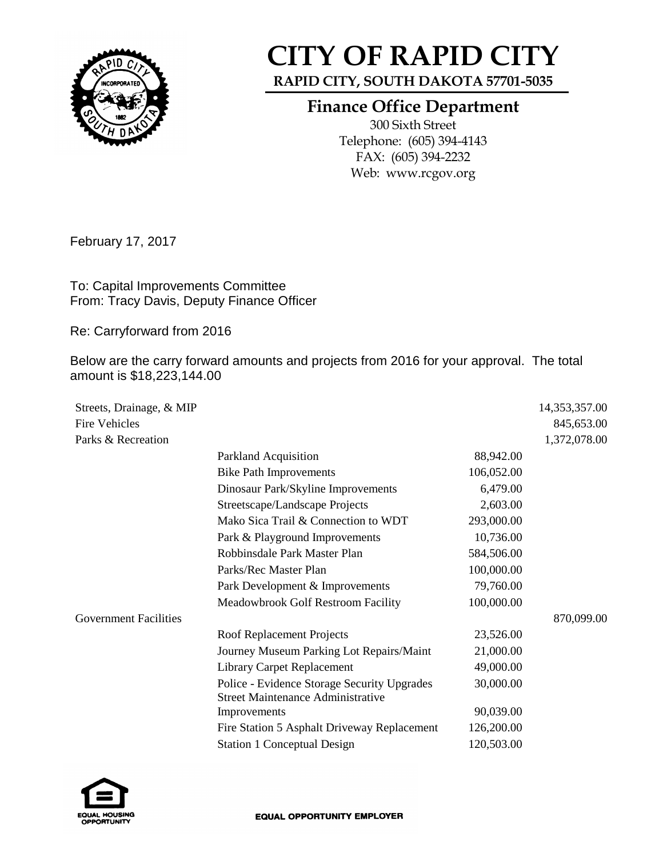

## **CITY OF RAPID CITY**

**RAPID CITY, SOUTH DAKOTA 57701-5035**

## **Finance Office Department**

300 Sixth Street Telephone: (605) 394-4143 FAX: (605) 394-2232 Web: www.rcgov.org

February 17, 2017

To: Capital Improvements Committee From: Tracy Davis, Deputy Finance Officer

Re: Carryforward from 2016

Below are the carry forward amounts and projects from 2016 for your approval. The total amount is \$18,223,144.00

| Streets, Drainage, & MIP     |                                             |            | 14,353,357.00 |
|------------------------------|---------------------------------------------|------------|---------------|
| <b>Fire Vehicles</b>         |                                             |            | 845,653.00    |
| Parks & Recreation           |                                             |            | 1,372,078.00  |
|                              | Parkland Acquisition                        | 88,942.00  |               |
|                              | <b>Bike Path Improvements</b>               | 106,052.00 |               |
|                              | Dinosaur Park/Skyline Improvements          | 6,479.00   |               |
|                              | Streetscape/Landscape Projects              | 2,603.00   |               |
|                              | Mako Sica Trail & Connection to WDT         | 293,000.00 |               |
|                              | Park & Playground Improvements              | 10,736.00  |               |
|                              | Robbinsdale Park Master Plan                | 584,506.00 |               |
|                              | Parks/Rec Master Plan                       | 100,000.00 |               |
|                              | Park Development & Improvements             | 79,760.00  |               |
|                              | Meadowbrook Golf Restroom Facility          | 100,000.00 |               |
| <b>Government Facilities</b> |                                             |            | 870,099.00    |
|                              | Roof Replacement Projects                   | 23,526.00  |               |
|                              | Journey Museum Parking Lot Repairs/Maint    | 21,000.00  |               |
|                              | <b>Library Carpet Replacement</b>           | 49,000.00  |               |
|                              | Police - Evidence Storage Security Upgrades | 30,000.00  |               |
|                              | <b>Street Maintenance Administrative</b>    |            |               |
|                              | Improvements                                | 90,039.00  |               |
|                              | Fire Station 5 Asphalt Driveway Replacement | 126,200.00 |               |
|                              | <b>Station 1 Conceptual Design</b>          | 120,503.00 |               |